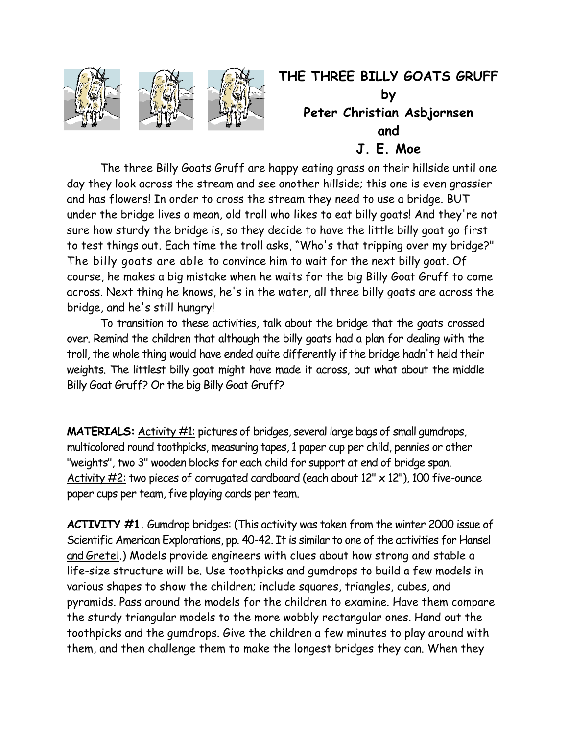

## **THE THREE BILLY GOATS GRUFF by Peter Christian Asbjornsen and J. E. Moe**

 The three Billy Goats Gruff are happy eating grass on their hillside until one day they look across the stream and see another hillside; this one is even grassier and has flowers! In order to cross the stream they need to use a bridge. BUT under the bridge lives a mean, old troll who likes to eat billy goats! And they're not sure how sturdy the bridge is, so they decide to have the little billy goat go first to test things out. Each time the troll asks, "Who's that tripping over my bridge?" The billy goats are able to convince him to wait for the next billy goat. Of course, he makes a big mistake when he waits for the big Billy Goat Gruff to come across. Next thing he knows, he's in the water, all three billy goats are across the bridge, and he's still hungry!

 To transition to these activities, talk about the bridge that the goats crossed over. Remind the children that although the billy goats had a plan for dealing with the troll, the whole thing would have ended quite differently if the bridge hadn't held their weights. The littlest billy goat might have made it across, but what about the middle Billy Goat Gruff? Or the big Billy Goat Gruff?

**MATERIALS:** Activity #1: pictures of bridges, several large bags of small gumdrops, multicolored round toothpicks, measuring tapes, 1 paper cup per child, pennies or other "weights", two 3" wooden blocks for each child for support at end of bridge span. Activity  $\#2$ : two pieces of corrugated cardboard (each about  $12'' \times 12'$ ), 100 five-ounce paper cups per team, five playing cards per team.

**ACTIVITY #1.** Gumdrop bridges: (This activity was taken from the winter 2000 issue of Scientific American Explorations, pp. 40-42. It is similar to one of the activities for Hansel and Gretel.) Models provide engineers with clues about how strong and stable a life-size structure will be. Use toothpicks and gumdrops to build a few models in various shapes to show the children; include squares, triangles, cubes, and pyramids. Pass around the models for the children to examine. Have them compare the sturdy triangular models to the more wobbly rectangular ones. Hand out the toothpicks and the gumdrops. Give the children a few minutes to play around with them, and then challenge them to make the longest bridges they can. When they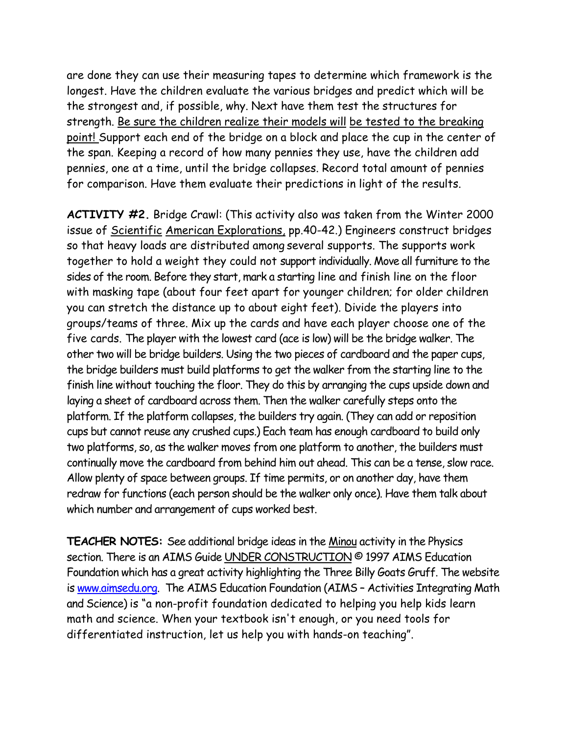are done they can use their measuring tapes to determine which framework is the longest. Have the children evaluate the various bridges and predict which will be the strongest and, if possible, why. Next have them test the structures for strength. Be sure the children realize their models will be tested to the breaking point! Support each end of the bridge on a block and place the cup in the center of the span. Keeping a record of how many pennies they use, have the children add pennies, one at a time, until the bridge collapses. Record total amount of pennies for comparison. Have them evaluate their predictions in light of the results.

**ACTIVITY #2.** Bridge Crawl: (This activity also was taken from the Winter 2000 issue of Scientific American Explorations, pp.40-42.) Engineers construct bridges so that heavy loads are distributed among several supports. The supports work together to hold a weight they could not support individually. Move all furniture to the sides of the room. Before they start, mark a starting line and finish line on the floor with masking tape (about four feet apart for younger children; for older children you can stretch the distance up to about eight feet). Divide the players into groups/teams of three. Mix up the cards and have each player choose one of the five cards. The player with the lowest card (ace is low) will be the bridge walker. The other two will be bridge builders. Using the two pieces of cardboard and the paper cups, the bridge builders must build platforms to get the walker from the starting line to the finish line without touching the floor. They do this by arranging the cups upside down and laying a sheet of cardboard across them. Then the walker carefully steps onto the platform. If the platform collapses, the builders try again. (They can add or reposition cups but cannot reuse any crushed cups.) Each team has enough cardboard to build only two platforms, so, as the walker moves from one platform to another, the builders must continually move the cardboard from behind him out ahead. This can be a tense, slow race. Allow plenty of space between groups. If time permits, or on another day, have them redraw for functions (each person should be the walker only once). Have them talk about which number and arrangement of cups worked best.

**TEACHER NOTES:** See additional bridge ideas in the Minou activity in the Physics section. There is an AIMS Guide UNDER CONSTRUCTION © 1997 AIMS Education Foundation which has a great activity highlighting the Three Billy Goats Gruff. The website is www.aimsedu.org. The AIMS Education Foundation (AIMS – Activities Integrating Math and Science) is "a non-profit foundation dedicated to helping you help kids learn math and science. When your textbook isn't enough, or you need tools for differentiated instruction, let us help you with hands-on teaching".